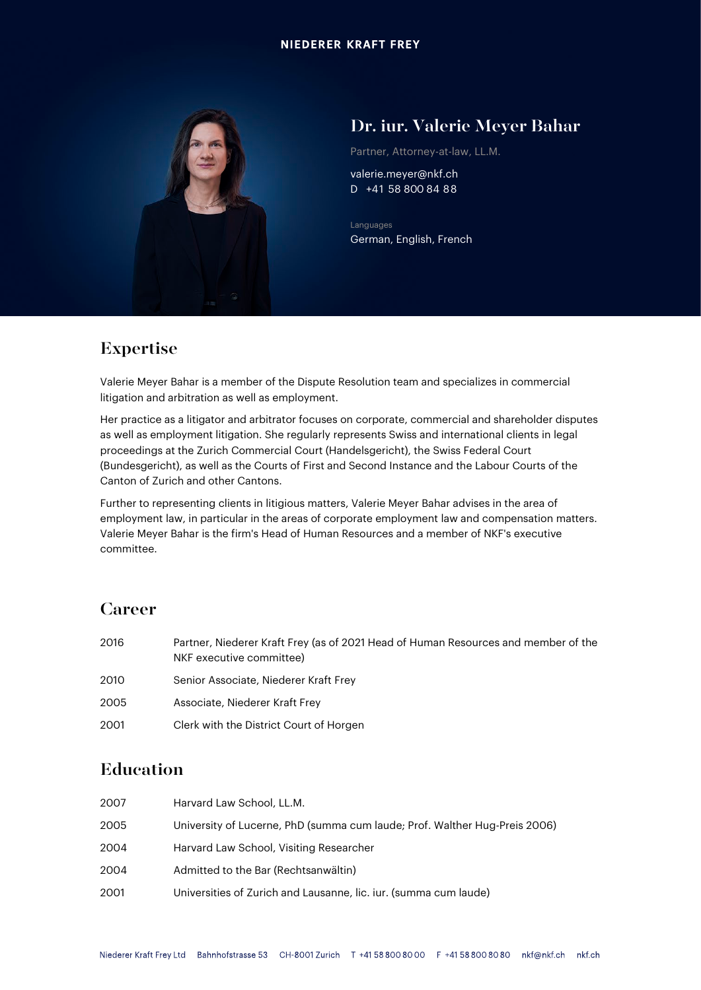

## Dr. iur. Valerie Meyer Bahar

Partner, Attorney-at-law, LL.M.

valerie.meyer@nkf.ch D +41 58 800 84 88

Languages German, English, French

## Expertise

Valerie Meyer Bahar is a member of the Dispute Resolution team and specializes in commercial litigation and arbitration as well as employment.

Her practice as a litigator and arbitrator focuses on corporate, commercial and shareholder disputes as well as employment litigation. She regularly represents Swiss and international clients in legal proceedings at the Zurich Commercial Court (Handelsgericht), the Swiss Federal Court (Bundesgericht), as well as the Courts of First and Second Instance and the Labour Courts of the Canton of Zurich and other Cantons.

Further to representing clients in litigious matters, Valerie Meyer Bahar advises in the area of employment law, in particular in the areas of corporate employment law and compensation matters. Valerie Meyer Bahar is the firm's Head of Human Resources and a member of NKF's executive committee.

### Career

| 2016 | Partner, Niederer Kraft Frey (as of 2021 Head of Human Resources and member of the<br>NKF executive committee) |
|------|----------------------------------------------------------------------------------------------------------------|
| 2010 | Senior Associate, Niederer Kraft Frey                                                                          |
| 2005 | Associate, Niederer Kraft Frey                                                                                 |
| 2001 | Clerk with the District Court of Horgen                                                                        |

### Education

| 2007 | Harvard Law School, LL.M.                                                  |
|------|----------------------------------------------------------------------------|
| 2005 | University of Lucerne, PhD (summa cum laude; Prof. Walther Hug-Preis 2006) |
| 2004 | Harvard Law School, Visiting Researcher                                    |
| 2004 | Admitted to the Bar (Rechtsanwältin)                                       |
| 2001 | Universities of Zurich and Lausanne, lic. iur. (summa cum laude)           |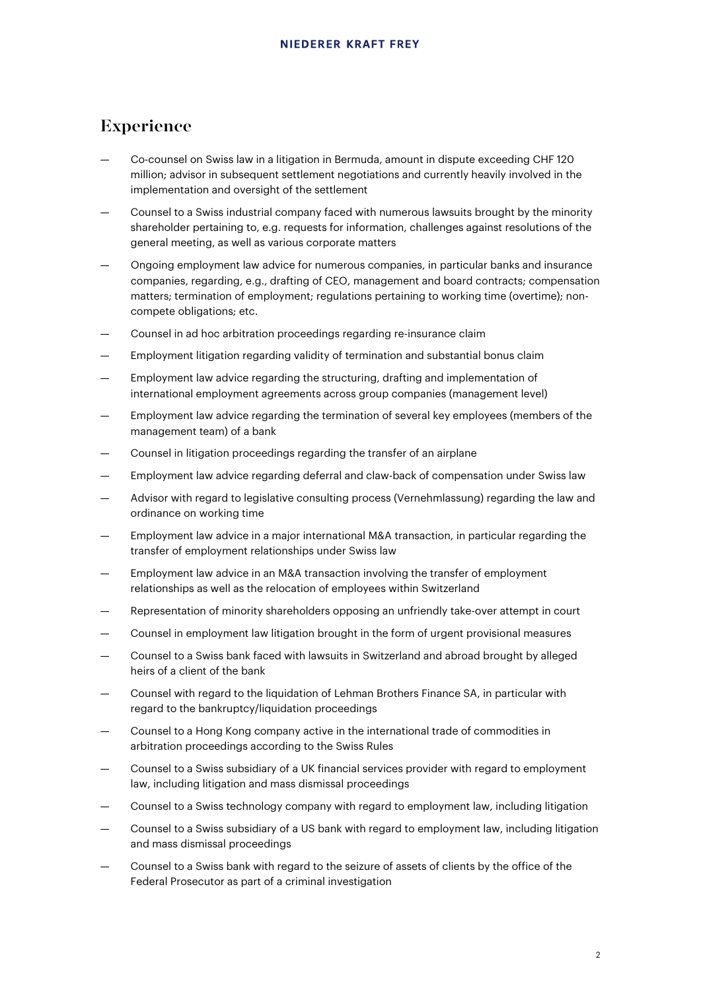#### Experience

- Co-counsel on Swiss law in a litigation in Bermuda, amount in dispute exceeding CHF 120 million; advisor in subsequent settlement negotiations and currently heavily involved in the implementation and oversight of the settlement
- Counsel to a Swiss industrial company faced with numerous lawsuits brought by the minority shareholder pertaining to, e.g. requests for information, challenges against resolutions of the general meeting, as well as various corporate matters
- Ongoing employment law advice for numerous companies, in particular banks and insurance companies, regarding, e.g., drafting of CEO, management and board contracts; compensation matters; termination of employment; regulations pertaining to working time (overtime); noncompete obligations; etc.
- Counsel in ad hoc arbitration proceedings regarding re-insurance claim
- Employment litigation regarding validity of termination and substantial bonus claim
- Employment law advice regarding the structuring, drafting and implementation of international employment agreements across group companies (management level)
- Employment law advice regarding the termination of several key employees (members of the management team) of a bank
- Counsel in litigation proceedings regarding the transfer of an airplane
- Employment law advice regarding deferral and claw-back of compensation under Swiss law
- Advisor with regard to legislative consulting process (Vernehmlassung) regarding the law and ordinance on working time
- Employment law advice in a major international M&A transaction, in particular regarding the transfer of employment relationships under Swiss law
- Employment law advice in an M&A transaction involving the transfer of employment relationships as well as the relocation of employees within Switzerland
- Representation of minority shareholders opposing an unfriendly take-over attempt in court
- Counsel in employment law litigation brought in the form of urgent provisional measures
- Counsel to a Swiss bank faced with lawsuits in Switzerland and abroad brought by alleged heirs of a client of the bank
- Counsel with regard to the liquidation of Lehman Brothers Finance SA, in particular with regard to the bankruptcy/liquidation proceedings
- Counsel to a Hong Kong company active in the international trade of commodities in arbitration proceedings according to the Swiss Rules
- Counsel to a Swiss subsidiary of a UK financial services provider with regard to employment law, including litigation and mass dismissal proceedings
- Counsel to a Swiss technology company with regard to employment law, including litigation
- Counsel to a Swiss subsidiary of a US bank with regard to employment law, including litigation and mass dismissal proceedings
- Counsel to a Swiss bank with regard to the seizure of assets of clients by the office of the Federal Prosecutor as part of a criminal investigation